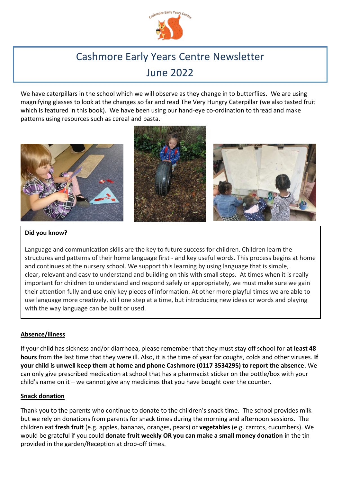

# Cashmore Early Years Centre Newsletter June 2022

We have caterpillars in the school which we will observe as they change in to butterflies. We are using magnifying glasses to look at the changes so far and read The Very Hungry Caterpillar (we also tasted fruit which is featured in this book). We have been using our hand-eye co-ordination to thread and make patterns using resources such as cereal and pasta.



# **Did you know?**

Language and communication skills are the key to future success for children. Children learn the structures and patterns of their home language first - and key useful words. This process begins at home and continues at the nursery school. We support this learning by using language that is simple, clear, relevant and easy to understand and building on this with small steps. At times when it is really important for children to understand and respond safely or appropriately, we must make sure we gain their attention fully and use only key pieces of information. At other more playful times we are able to use language more creatively, still one step at a time, but introducing new ideas or words and playing with the way language can be built or used.

## **Absence/illness**

If your child has sickness and/or diarrhoea, please remember that they must stay off school for **at least 48 hours** from the last time that they were ill. Also, it is the time of year for coughs, colds and other viruses. **If your child is unwell keep them at home and phone Cashmore (0117 3534295) to report the absence**. We can only give prescribed medication at school that has a pharmacist sticker on the bottle/box with your child's name on it – we cannot give any medicines that you have bought over the counter.

## **Snack donation**

Thank you to the parents who continue to donate to the children's snack time. The school provides milk but we rely on donations from parents for snack times during the morning and afternoon sessions. The children eat **fresh fruit** (e.g. apples, bananas, oranges, pears) or **vegetables** (e.g. carrots, cucumbers). We would be grateful if you could **donate fruit weekly OR you can make a small money donation** in the tin provided in the garden/Reception at drop-off times.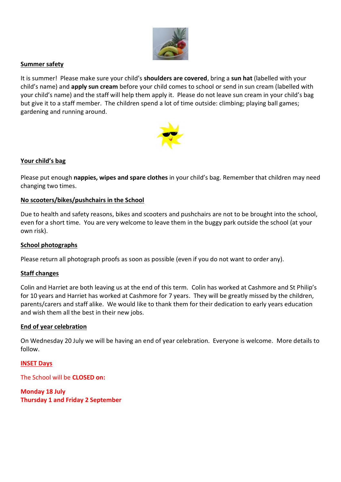

## **Summer safety**

It is summer! Please make sure your child's **shoulders are covered**, bring a **sun hat** (labelled with your child's name) and **apply sun cream** before your child comes to school or send in sun cream (labelled with your child's name) and the staff will help them apply it. Please do not leave sun cream in your child's bag but give it to a staff member. The children spend a lot of time outside: climbing; playing ball games; gardening and running around.



## **Your child's bag**

Please put enough **nappies, wipes and spare clothes** in your child's bag. Remember that children may need changing two times.

## **No scooters/bikes/pushchairs in the School**

Due to health and safety reasons, bikes and scooters and pushchairs are not to be brought into the school, even for a short time. You are very welcome to leave them in the buggy park outside the school (at your own risk).

#### **School photographs**

Please return all photograph proofs as soon as possible (even if you do not want to order any).

#### **Staff changes**

Colin and Harriet are both leaving us at the end of this term. Colin has worked at Cashmore and St Philip's for 10 years and Harriet has worked at Cashmore for 7 years. They will be greatly missed by the children, parents/carers and staff alike. We would like to thank them for their dedication to early years education and wish them all the best in their new jobs.

#### **End of year celebration**

On Wednesday 20 July we will be having an end of year celebration. Everyone is welcome. More details to follow.

**INSET Days**

The School will be **CLOSED on:**

**Monday 18 July Thursday 1 and Friday 2 September**